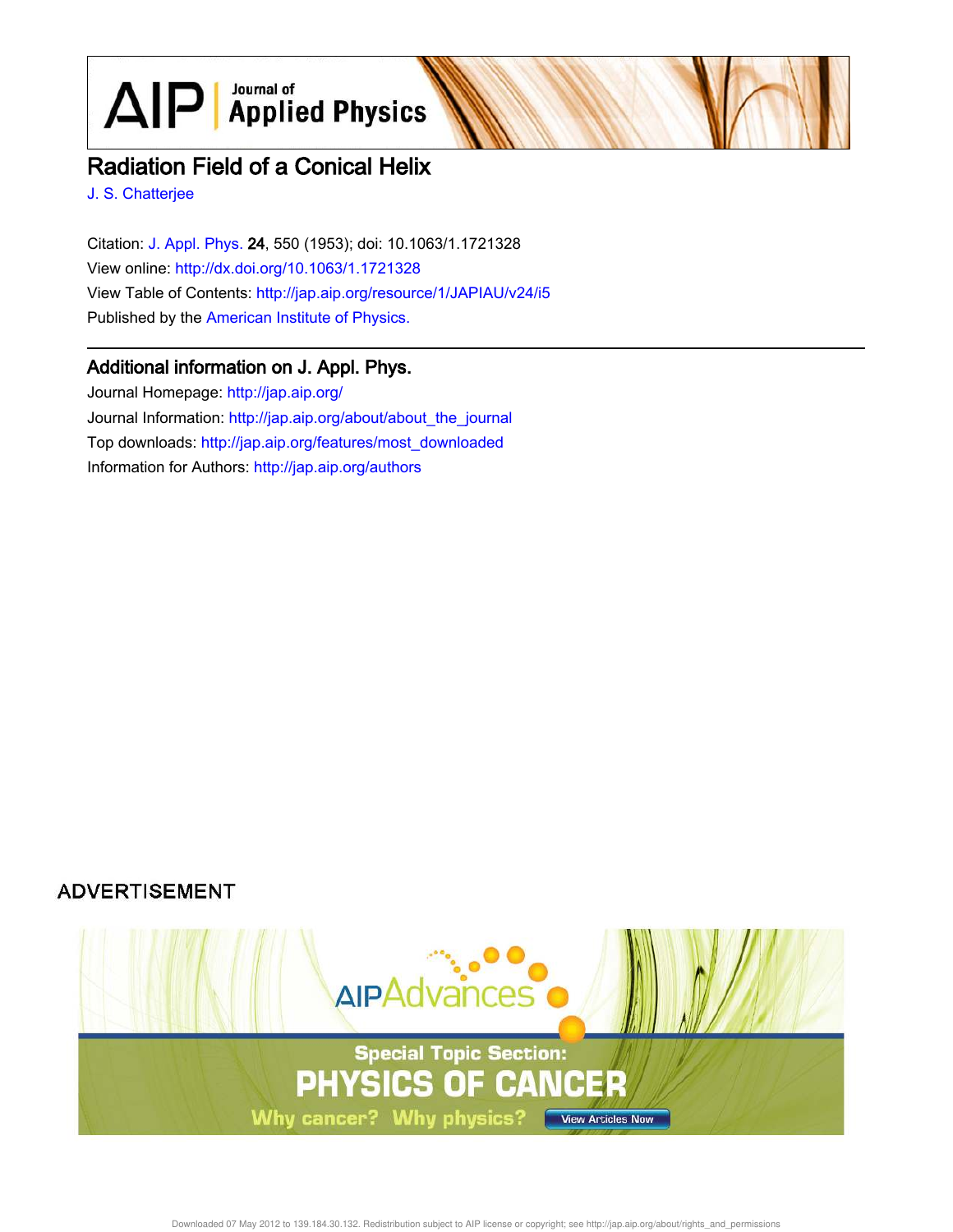$\text{AlP}$  Applied Physics

# Radiation Field of a Conical Helix

J. S. Chatterjee

Citation: J. Appl. Phys. 24, 550 (1953); doi: 10.1063/1.1721328 View online: http://dx.doi.org/10.1063/1.1721328 View Table of Contents: http://jap.aip.org/resource/1/JAPIAU/v24/i5 Published by the American Institute of Physics.

# Additional information on J. Appl. Phys.

Journal Homepage: http://jap.aip.org/ Journal Information: http://jap.aip.org/about/about\_the\_journal Top downloads: http://jap.aip.org/features/most\_downloaded Information for Authors: http://jap.aip.org/authors

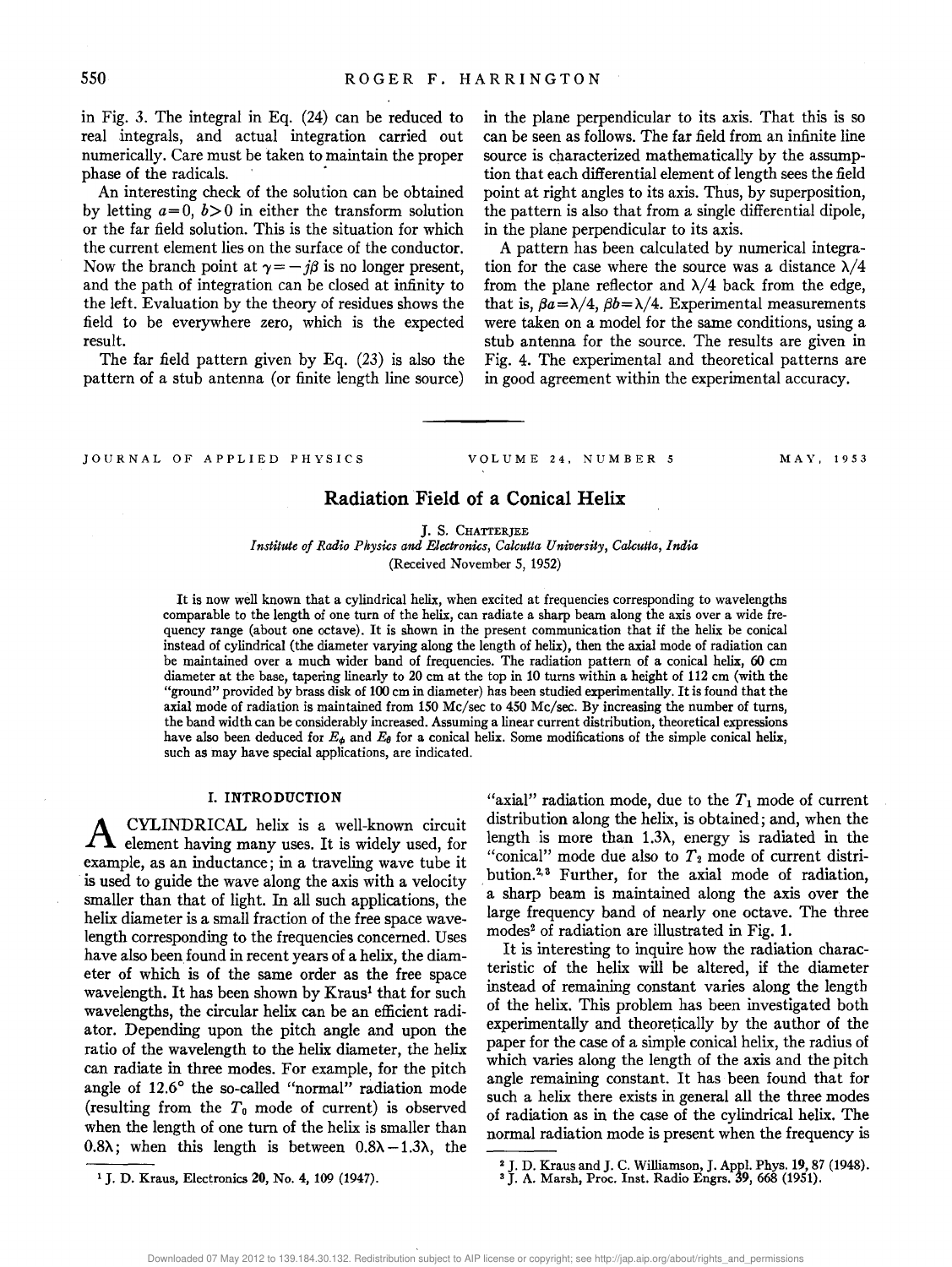in Fig. 3. The integral in Eq. (24) can be reduced to real integrals, and actual integration carried out numerically. Care must be taken to maintain the proper phase of the radicals. .

An interesting check of the solution can be obtained by letting  $a=0, b>0$  in either the transform solution or the far field solution. This is the situation for which the current element lies on the surface of the conductor. Now the branch point at  $\gamma = -j\beta$  is no longer present, and the path of integration can be closed at infinity to the left. Evaluation by the theory of residues shows the field to be everywhere zero, which is the expected result.

The far field pattern given by Eq. (23) is also the pattern of a stub antenna (or finite length line source)

in the plane perpendicular to its axis. That this is so can be seen as follows. The far field from an infinite line source is characterized mathematically by the assumption that each differential element of length sees the field point at right angles to its axis. Thus, by superposition, the pattern is also that from a single differential dipole, in the plane perpendicular to its axis.

A pattern has been calculated by numerical integration for the case where the source was a distance  $\lambda/4$ from the plane reflector and  $\lambda/4$  back from the edge, that is,  $\beta a = \lambda/4$ ,  $\beta b = \lambda/4$ . Experimental measurements were taken on a model for the same conditions, using a stub antenna for the source. The results are given in Fig. 4. The experimental and theoretical patterns are in good agreement within the experimental accuracy.

JOURNAL OF APPLIED PHYSICS

VOLUME 24. NUMBER 5 MAY. 1953

# **Radiation Field of a Conical Helix**

J. S. CHATTERJEE

*Institute of Radio Physics and Electronics, Calcutta University, Calcutta, India*  (Received November 5, 1952)

It is now well known that a cylindrical helix, when excited at frequencies corresponding to wavelengths comparable to the length of one turn of the helix, can radiate a sharp beam along the axis over a wide frequency range (about one octave). It is shown in the present communication that if the helix be conical instead of cylindrical (the diameter varying along the length of helix), then the axial mode of radiation can be maintained over a much wider band of frequencies. The radiation pattern of a conical helix, 60 em diameter at the base, tapering linearly to 20 em at the top in 10 turns within a height of 112 em (with the "ground" provided by brass disk of 100 em in diameter) has been studied experimentally. It is found that the axial mode of radiation is maintained from 150 Me/sec to 450 Me/sec. By increasing the number of turns, the band width can be considerably increased. Assuming a linear current distribution, theoretical expressions have also been deduced for  $E_{\phi}$  and  $E_{\theta}$  for a conical helix. Some modifications of the simple conical helix, such as may have special applications, are indicated.

#### **1. INTRODUCTION**

A CYLINDRICAL helix is a well-known circuit element having many uses. It is widely used, for example, as an inductance; in a traveling wave tube it is used to guide the wave along the axis with a velocity smaller than that of light. In all such applications, the helix diameter is a small fraction of the free space wavelength corresponding to the frequencies concerned. Uses have also been found in recent years of a helix, the diameter of which is of the same order as the free space wavelength. It has been shown by Kraus<sup>1</sup> that for such wavelengths, the circular helix can be an efficient radiator. Depending upon the pitch angle and upon the ratio of the wavelength to the helix diameter, the helix can radiate in three modes. For example, for the pitch angle of 12.6° the so-called "normal" radiation mode (resulting from the *To* mode of current) is observed when the length of one turn of the helix is smaller than 0.8 $\lambda$ ; when this length is between 0.8 $\lambda$  -1.3 $\lambda$ , the

"axial" radiation mode, due to the  $T_1$  mode of current distribution along the helix, is obtained; and, when the length is more than  $1.3\lambda$ , energy is radiated in the "conical" mode due also to  $T_2$  mode of current distribution.<sup>2,3</sup> Further, for the axial mode of radiation, . a sharp beam is maintained along the axis over the large frequency band of nearly one octave. The three modes<sup>2</sup> of radiation are illustrated in Fig. 1.

It is interesting to inquire how the radiation characteristic of the helix will be altered, if the diameter instead of remaining constant varies along the length of the helix. This problem has been investigated both experimentally and theoretically by the author of the paper for the case of a simple conical helix, the radius of which varies along the length of the axis and the pitch angle remaining constant. It has been found that for such a helix there exists in general all the three modes of radiation as in the case of the cylindrical helix. The normal radiation mode is present when the frequency is

<sup>1</sup>J. D. Kraus, Electronics **20,** No.4, 109 (1947).

<sup>2</sup>J. D. Kraus and J. C. Williamson, J. Appl. Phys. **19,87** (1948).

<sup>&</sup>lt;sup>3</sup> J. A. Marsh, Proc. Inst. Radio Engrs. 39, 668 (1951).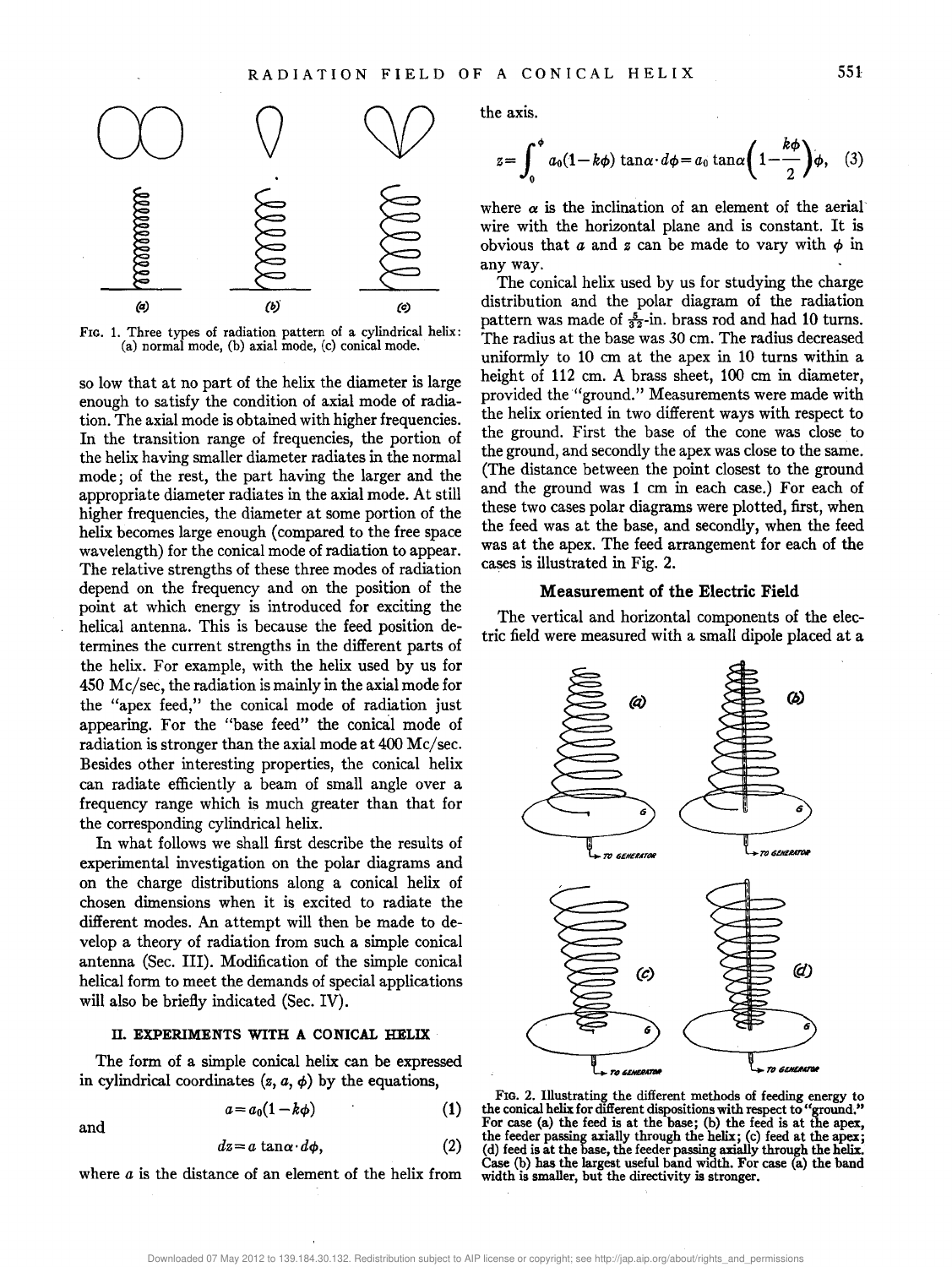

FIG. 1. Three types of radiation pattern of a cylindrical helix: (a) normal mode, (b) axial mode, (c) conical mode.

so low that at no part of the helix the diameter is large enough to satisfy the condition of axial mode of radiation. The axial mode is obtained with higher frequencies. In the transition range of frequencies, the portion of the helix having smaller diameter radiates in the normal mode; of the rest, the part having the larger and the appropriate diameter radiates in the axial mode. At still higher frequencies, the diameter at some portion of the helix becomes large enough (compared to the free space wavelength) for the conical mode of radiation to appear. The relative strengths of these three modes of radiation depend on the frequency and on the position of the point at which energy is introduced for exciting the helical antenna. This is because the feed position determines the current strengths in the different parts of the helix. For example, with the helix used by us for 450 Mc/sec, the radiation is mainly in the axial mode for the "apex feed," the conical mode of radiation just appearing. For the "base feed" the conical mode of radiation is stronger than the axial mode at 400 Mc/sec. Besides other interesting properties, the conical helix can radiate efficiently a beam of small angle over a frequency range which is much greater than that for the corresponding cylindrical helix.

In what follows we shall first describe the results of experimental investigation on the polar diagrams and on the charge distributions along a conical helix of chosen dimensions when it is excited to radiate the different modes. An attempt will then be made to develop a theory of radiation from such a simple conical antenna (Sec. III). Modification of the simple conical helical form to meet the demands of special applications will also be briefly indicated (Sec. IV).

#### **n. EXPERIMENTS WITH A CONICAL HELIX**

The form of a simple conical helix can be expressed in cylindrical coordinates  $(z, a, \phi)$  by the equations,

$$
a = a_0(1 - k\phi) \tag{1}
$$

and

$$
dz = a \tan \alpha \cdot d\phi, \qquad (2)
$$

where *a* is the distance of an element of the helix from

the axis.

$$
z = \int_0^{\phi} a_0 (1 - k\phi) \tan \alpha \cdot d\phi = a_0 \tan \alpha \left( 1 - \frac{k\phi}{2} \right) \phi, \quad (3)
$$

where  $\alpha$  is the inclination of an element of the aerial wire with the horizontal plane and is constant. It is obvious that  $a$  and  $z$  can be made to vary with  $\phi$  in any way.

The conical helix used by us for studying the charge distribution and the polar diagram of the radiation pattern was made of  $\frac{5}{32}$ -in. brass rod and had 10 turns. The radius at the base was 30 cm. The radius decreased uniformly to 10 em at the apex in 10 turns within a height of 112 cm. A brass sheet, 100 cm in diameter, provided the "ground." Measurements were made with the helix oriented in two different ways with respect to the ground. First the base of the cone was close to the ground, and secondly the apex was close to the same. (The distance between the point closest to the ground and the ground was 1 cm in each case.) For each of these two cases polar diagrams were plotted, first, when the feed was at the base, and secondly, when the feed was at the apex. The feed arrangement for each of the cases is illustrated in Fig. 2.

# **Measurement of the Electric Field**

The vertical and horizontal components of the electric field were measured with a small dipole placed at a



FIG. 2. Illustrating the different methods of feeding energy to the conical helix for different dispositions with respect to "ground." For case (a) the feed is at the base; (b) the feed is at the the feeder passing axially through the helix; (c) feed at the apex; (d) feed is at the base, the feeder passing axially through the helix. Case (b) has the largest useful band width. For case (a) the band width is smaller, but the directivity is stronger.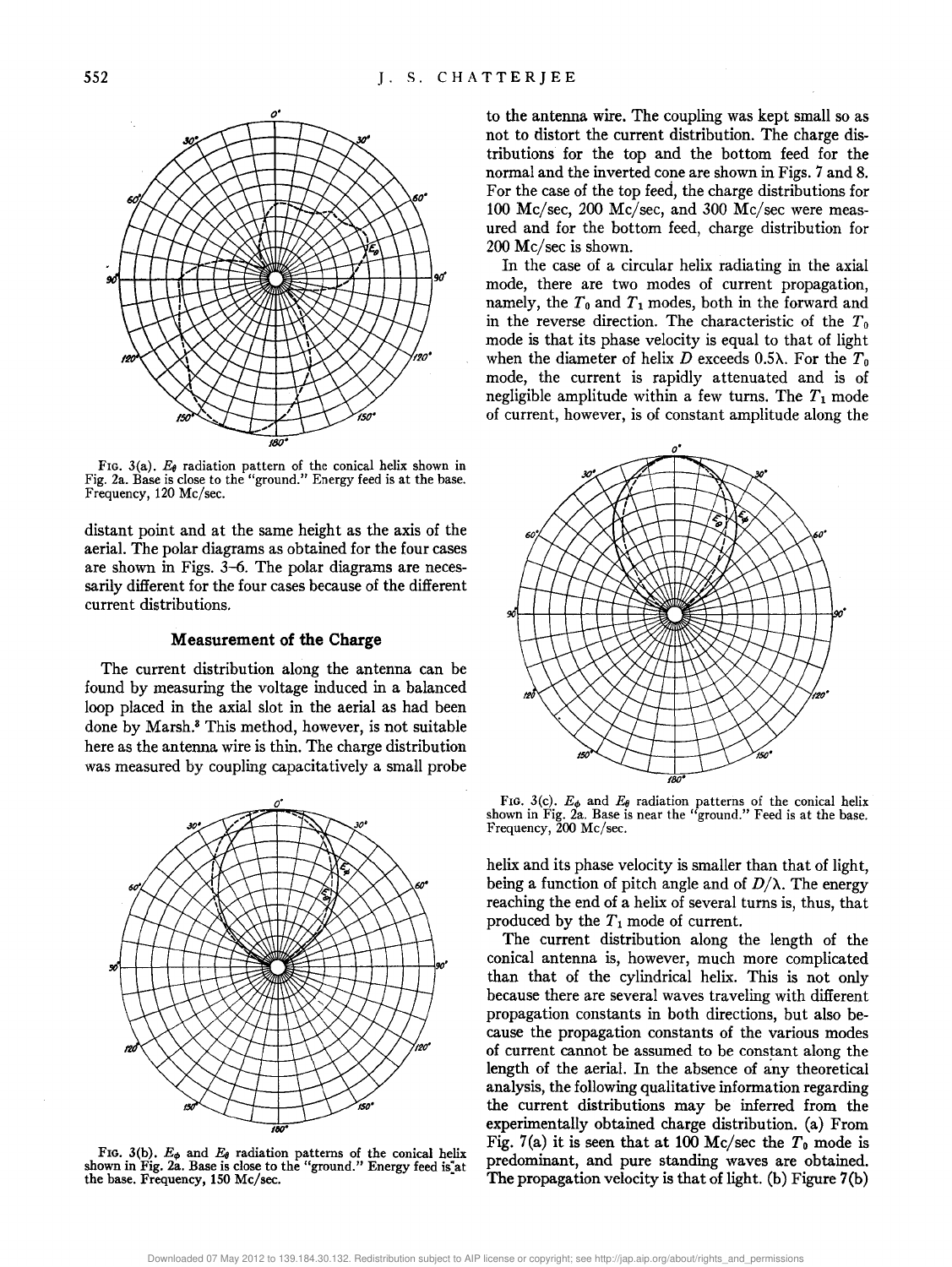

FIG. 3(a).  $E_{\theta}$  radiation pattern of the conical helix shown in Fig. 2a. Base is close to the "ground." Energy feed is at the base. Frequency, 120 Me/sec.

distant point and at the same height as the axis of the aerial. The polar diagrams as obtained for the four cases are shown in Figs. 3-6. The polar diagrams are necessarily different for the four cases because of the different current distributions.

#### **Measurement of the Charge**

The current distribution along the antenna can be found by measuring the voltage induced in a balanced loop placed in the axial slot in the aerial as had been done by Marsh.3 This method, however, is not suitable here as the antenna wire is thin. The charge distribution was measured by coupling capacitatively a small probe



FIG. 3(b).  $E_{\phi}$  and  $E_{\theta}$  radiation patterns of the conical helix shown in Fig. 2a. Base is close to the "ground." Energy feed is at the base. Frequency, 150 Me/sec.

to the antenna wire. The coupling was kept small so as not to distort the current distribution. The charge distributions for the top and the bottom feed for the normal and the inverted cone are shown in Figs. 7 and 8. For the case of the top feed, the charge distributions for 100 Mc/sec, 200 Mc/sec, and 300 Mc/sec were measured and for the bottom feed, charge distribution for 200 Mc/sec is shown.

In the case of a circular helix radiating in the axial mode, there are two modes of current propagation, namely, the  $T_0$  and  $T_1$  modes, both in the forward and in the reverse direction. The characteristic of the  $T_0$ mode is that its phase velocity is equal to that of light when the diameter of helix D exceeds 0.5 $\lambda$ . For the  $T_0$ mode, the current is rapidly attenuated and is of negligible amplitude within a few turns. The  $T_1$  mode of current, however, is of constant amplitude along the



FIG. 3(c).  $E_{\phi}$  and  $E_{\theta}$  radiation patterns of the conical helix shown in Fig. 2a. Base is near the "ground." Feed is at the base. Frequency, 200 Me/sec.

helix and its phase velocity is smaller than that of light, being a function of pitch angle and of  $D/\lambda$ . The energy reaching the end of a helix of several turns is, thus, that produced by the *T* 1 mode of current.

The current distribution along the length of the conical antenna is, however, much more complicated than that of the cylindrical helix. This is not only because there are several waves traveling with different propagation constants in both directions, but also because the propagation constants of the various modes of current cannot be assumed to be constant along the length of the aerial. In the absence of any theoretical analysis, the following qualitative information regarding the current distributions may be inferred from the experimentally obtained charge distribution. (a) From Fig. 7(a) it is seen that at 100 Mc/sec the  $T_0$  mode is predominant, and pure standing waves are obtained. The propagation velocity is that of light. (b) Figure 7(b)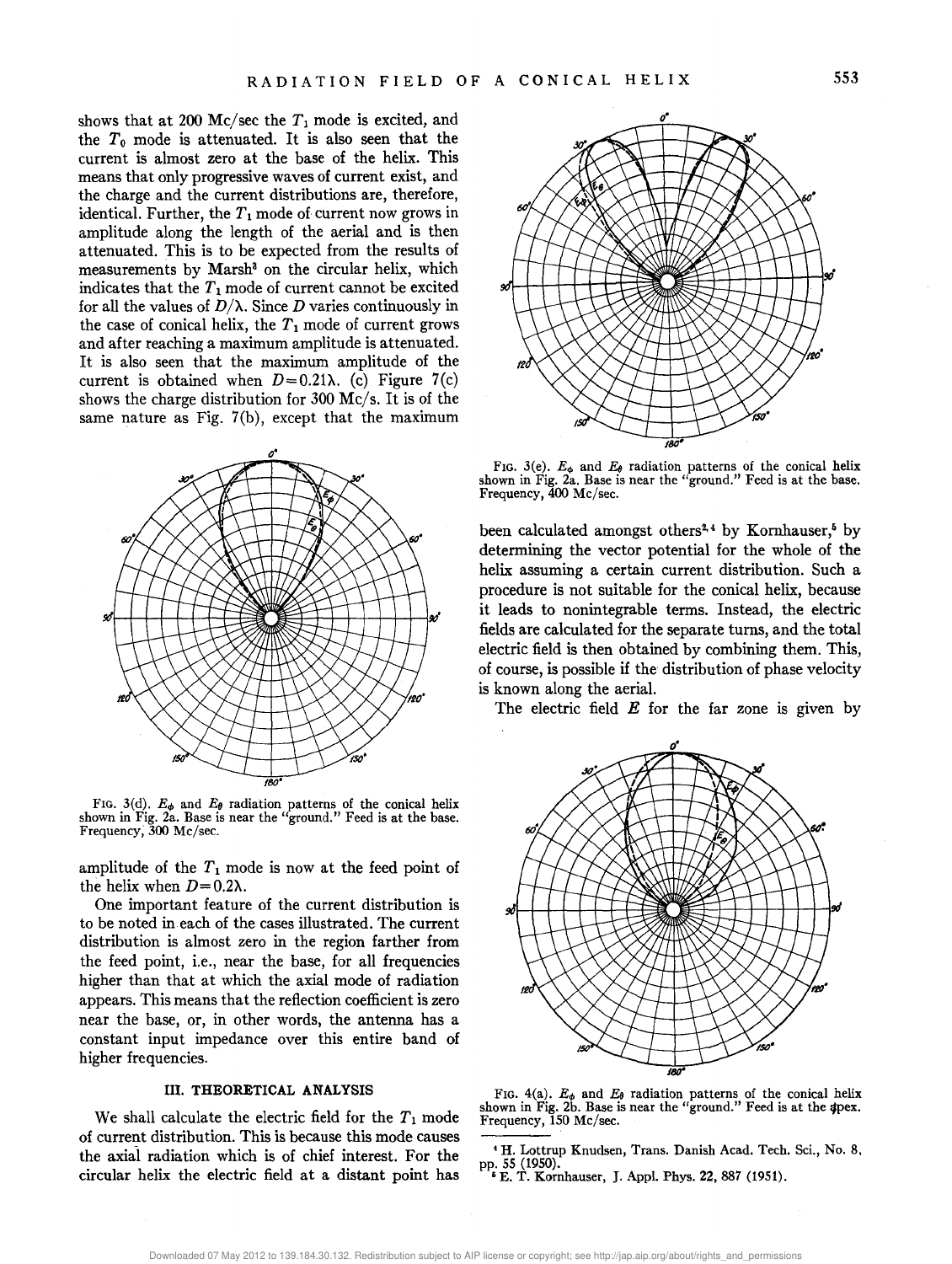shows that at 200 Mc/sec the  $T_1$  mode is excited, and the *To* mode is attenuated. It is also seen that the current is almost zero at the base of the helix. This means that only progressive waves of current exist, and the charge and the current distributions are, therefore, identical. Further, the  $T_1$  mode of current now grows in amplitude along the length of the aerial and is then attenuated. This is to be expected from the results of measurements by Marsh<sup>3</sup> on the circular helix, which indicates that the  $T_1$  mode of current cannot be excited for all the values of  $D/\lambda$ . Since *D* varies continuously in the case of conical helix, the  $T_1$  mode of current grows and after reaching a maximum amplitude is attenuated. It is also seen that the maximum amplitude of the current is obtained when  $D=0.21\lambda$ . (c) Figure 7(c) shows the charge distribution for 300 Mc/s. It is of the same nature as Fig. 7(b), except that the maximum



FIG. 3(d).  $E_{\phi}$  and  $E_{\theta}$  radiation patterns of the conical helix shown in Fig. 2a. Base is near the "ground." Feed is at the base. Frequency; 300 Mc/sec.

amplitude of the  $T_1$  mode is now at the feed point of the helix when  $D=0.2\lambda$ .

One important feature of the current distribution is to be noted in each of the cases illustrated. The current distribution is almost zero in the region farther from the feed point, i.e., near the base, for all frequencies higher than that at which the axial mode of radiation appears. This means that the reflection coefficient is zero near the base, or, in other words, the antenna has a constant input impedance over this entire band of higher frequencies.

#### III. **THEORETICAL ANALYSIS**

We shall calculate the electric field for the  $T_1$  mode of current distribution. This is because this mode causes the axial radiation which is of chief interest. For the circular helix the electric field at a distant point has



FIG. 3(e).  $E_{\phi}$  and  $E_{\theta}$  radiation patterns of the conical helix shown in Fig. 2a. Base is near the "ground." Feed is at the base. Frequency, 400 Mc/sec.

been calculated amongst others<sup>2,4</sup> by Kornhauser,<sup>5</sup> by determining the vector potential for the whole of the helix assuming a certain current distribution. Such a procedure is not suitable for the conical helix, because it leads to nonintegrable terms. Instead, the electric fields are calculated for the separate turns, and the total electric field is then obtained by combining them. This, of course, is possible if the distribution of phase velocity is known along the aerial.

The electric field  $E$  for the far zone is given by



FIG.  $4(a)$ .  $E_{\phi}$  and  $E_{\theta}$  radiation patterns of the conical helix shown in Fig. 2b. Base is near the "ground." Feed is at the spex. Frequency, 150 Mc/sec.

<sup>4</sup>H. Lottrup Knudsen, Trans. Danish Acad. Tech. Sci., No.8, pp. 55 (1950).<br>
<sup>5</sup> E. T. Kornhauser, J. Appl. Phys. 22, 887 (1951).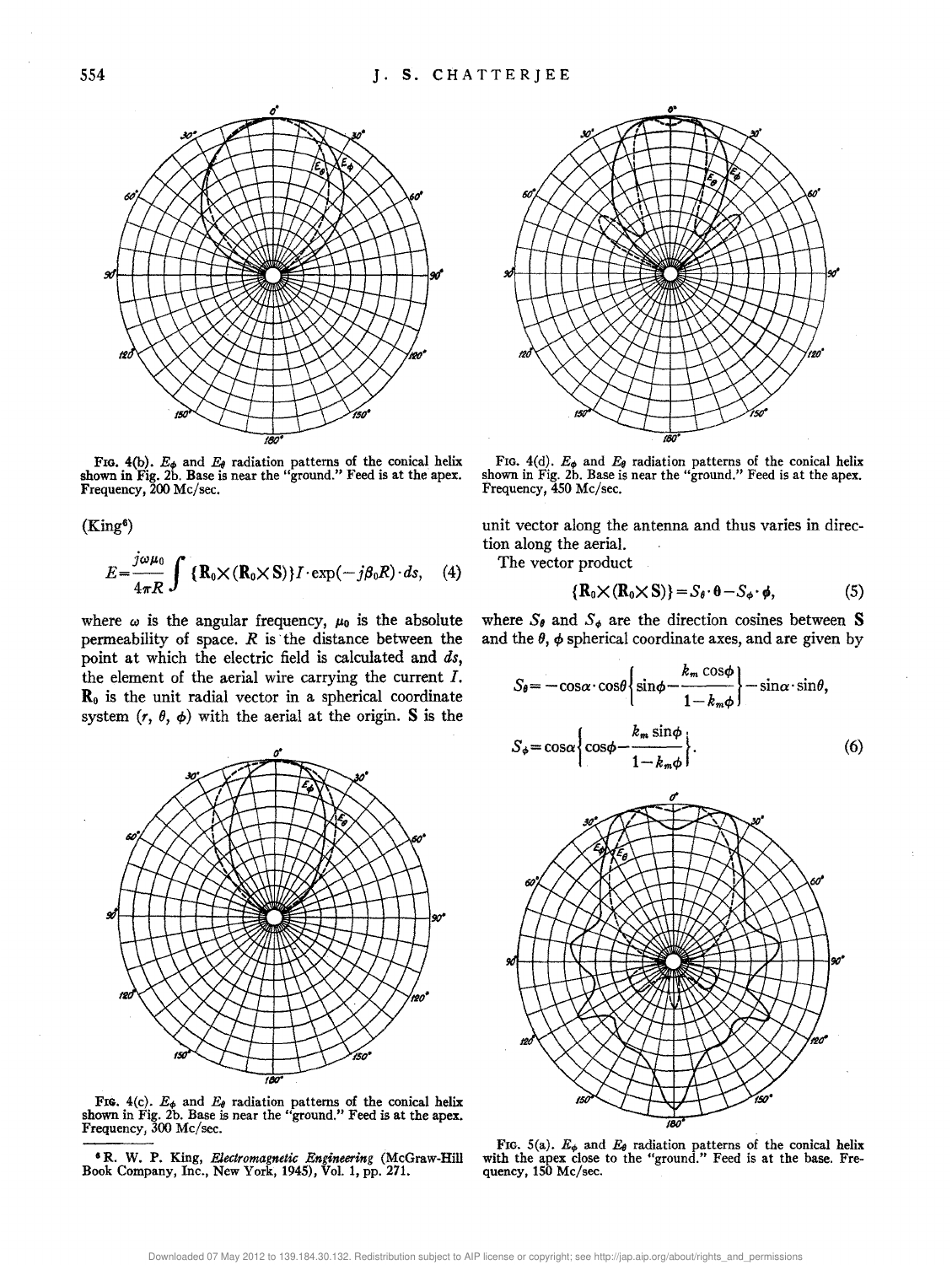

FIG.  $4(b)$ .  $E_{\phi}$  and  $E_{\theta}$  radiation patterns of the conical helix shown in Fig. 2b. Base is near the "ground." Feed is at the apex. Frequency, 200 Me/sec.

 $(King<sup>6</sup>)$ 

$$
E = \frac{j\omega\mu_0}{4\pi R} \int \{ \mathbf{R}_0 \times (\mathbf{R}_0 \times \mathbf{S}) \} I \cdot \exp(-j\beta_0 R) \cdot ds, \quad (4)
$$

where  $\omega$  is the angular frequency,  $\mu_0$  is the absolute permeability of space. *R* is· the distance between the point at which the electric field is calculated and *ds,*  the element of the aerial wire carrying the current *I.*   $\mathbf{R}_{0}$  is the unit radial vector in a spherical coordinate system  $(r, \theta, \phi)$  with the aerial at the origin. S is the



FIG.  $4(c)$ .  $E_{\phi}$  and  $E_{\theta}$  radiation patterns of the conical helix shown in Fig. 2b. Base is near the "ground." Feed is at the apex. Frequency, 300 Mc/sec.

• R. W. P. King, *Electromagnetic Engineering* (McGraw-Hill Book Company, Inc., New York, 1945), Vol. 1, pp. 271.



FIG.  $4(d)$ .  $E_{\phi}$  and  $E_{\theta}$  radiation patterns of the conical helix shown in Fig. 2b. Base is near the "ground." Feed is at the apex. Frequency, 450 Me/sec.

unit vector along the antenna and thus varies in direction along the aerial.

The vector product

$$
\{R_0 \times (R_0 \times S)\} = S_\theta \cdot \theta - S_\phi \cdot \phi, \tag{5}
$$

where  $S_{\theta}$  and  $S_{\phi}$  are the direction cosines between S and the  $\theta$ ,  $\phi$  spherical coordinate axes, and are given by

$$
S_{\theta} = -\cos\alpha \cdot \cos\theta \left\{ \sin\phi - \frac{k_m \cos\phi}{1 - k_m \phi} \right\} - \sin\alpha \cdot \sin\theta,
$$
  

$$
S_{\phi} = \cos\alpha \left\{ \cos\phi - \frac{k_m \sin\phi}{1 - k_m \phi} \right\}.
$$
 (6)



FIG. 5(a).  $E_{\phi}$  and  $E_{\theta}$  radiation patterns of the conical helix with the apex close to the "ground." Feed is at the base. Frequency, 150 Mc/sec.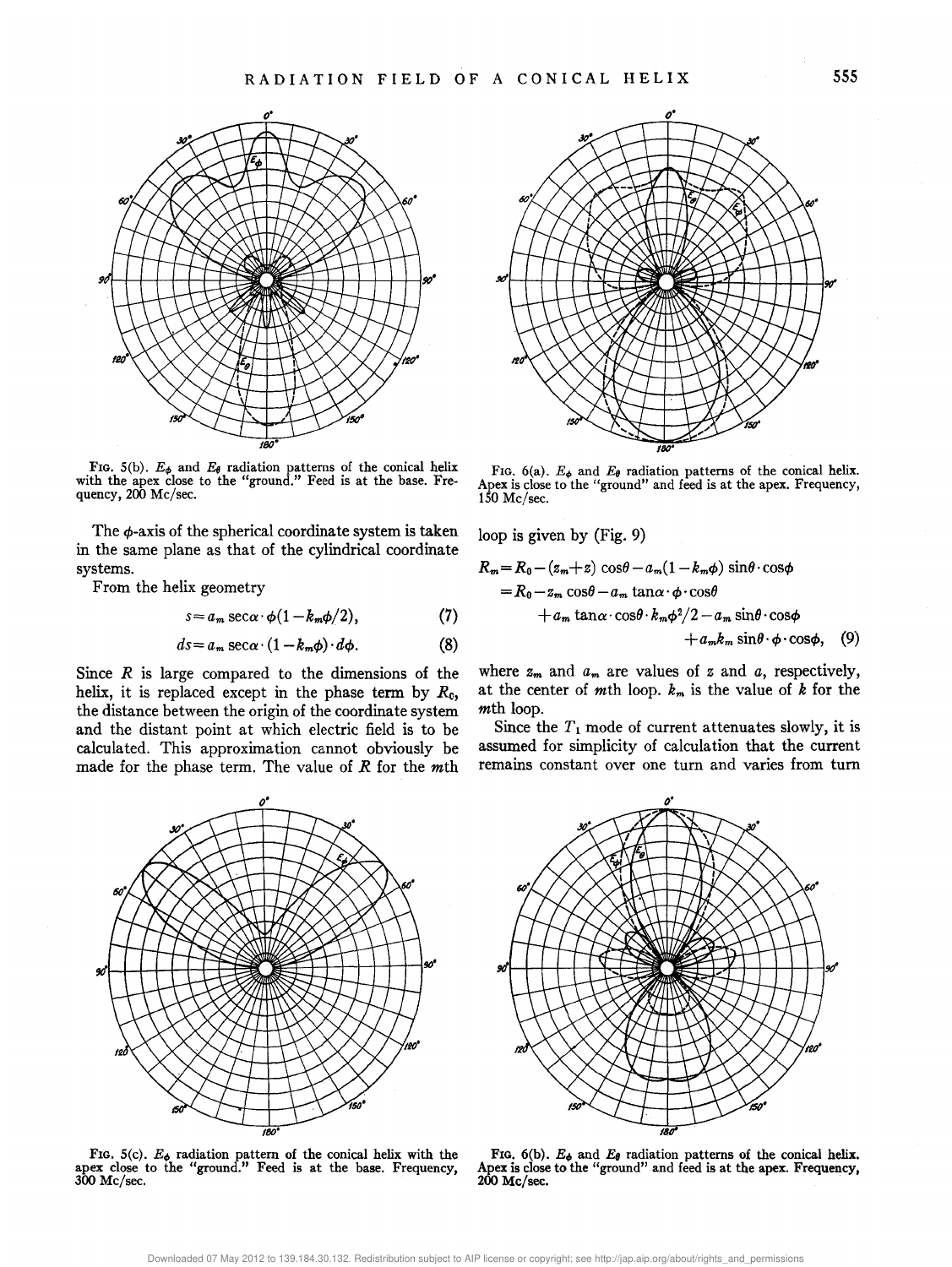

FIG. 5(b).  $E_{\phi}$  and  $E_{\theta}$  radiation patterns of the conical helix with the apex close to the "ground." Feed is at the base. Frequency, 200 Me/sec.

The  $\phi$ -axis of the spherical coordinate system is taken in the same plane as that of the cylindrical coordinate systems.

From the helix geometry

$$
s = a_m \sec \alpha \cdot \phi (1 - k_m \phi / 2), \qquad (7)
$$

$$
ds = a_m \sec \alpha \cdot (1 - k_m \phi) \cdot d\phi. \tag{8}
$$

Since *R* is large compared to the dimensions of the helix, it is replaced except in the phase term by *Re,*  the distance between the origin of the coordinate system and the distant point at which electric field is to be calculated. This approximation cannot obviously be made for the phase term. The value of *R* for the mth

*o·* 



FIG. 6(a).  $E_{\phi}$  and  $E_{\theta}$  radiation patterns of the conical helix. Apex is close to the "ground" and feed is at the apex. Frequency, 150 Me/sec.

loop is given by (Fig. 9)

$$
R_m = R_0 - (z_m + z) \cos\theta - a_m (1 - k_m \phi) \sin\theta \cdot \cos\phi
$$
  
=  $R_0 - z_m \cos\theta - a_m \tan\alpha \cdot \phi \cdot \cos\theta$   
+  $a_m \tan\alpha \cdot \cos\theta \cdot k_m \phi^2 / 2 - a_m \sin\theta \cdot \cos\phi$   
+  $a_m k_m \sin\theta \cdot \phi \cdot \cos\phi$ , (9)

where  $z_m$  and  $a_m$  are values of  $z$  and  $a_j$ , respectively, at the center of mth loop. *km* is the value of *k* for the mth loop.

Since the  $T_1$  mode of current attenuates slowly, it is assumed for simplicity of calculation that the current remains constant over one turn and varies from turn



FIG. 5(c).  $E_{\phi}$  radiation pattern of the conical helix with the apex close to the "ground." Feed is at the base. Frequency, 300 Me/sec.



FIG.  $6(b)$ .  $E_{\phi}$  and  $E_{\theta}$  radiation patterns of the conical helix. Apex is close to the "ground" and feed is at the apex. Frequency, 200 Me/sec.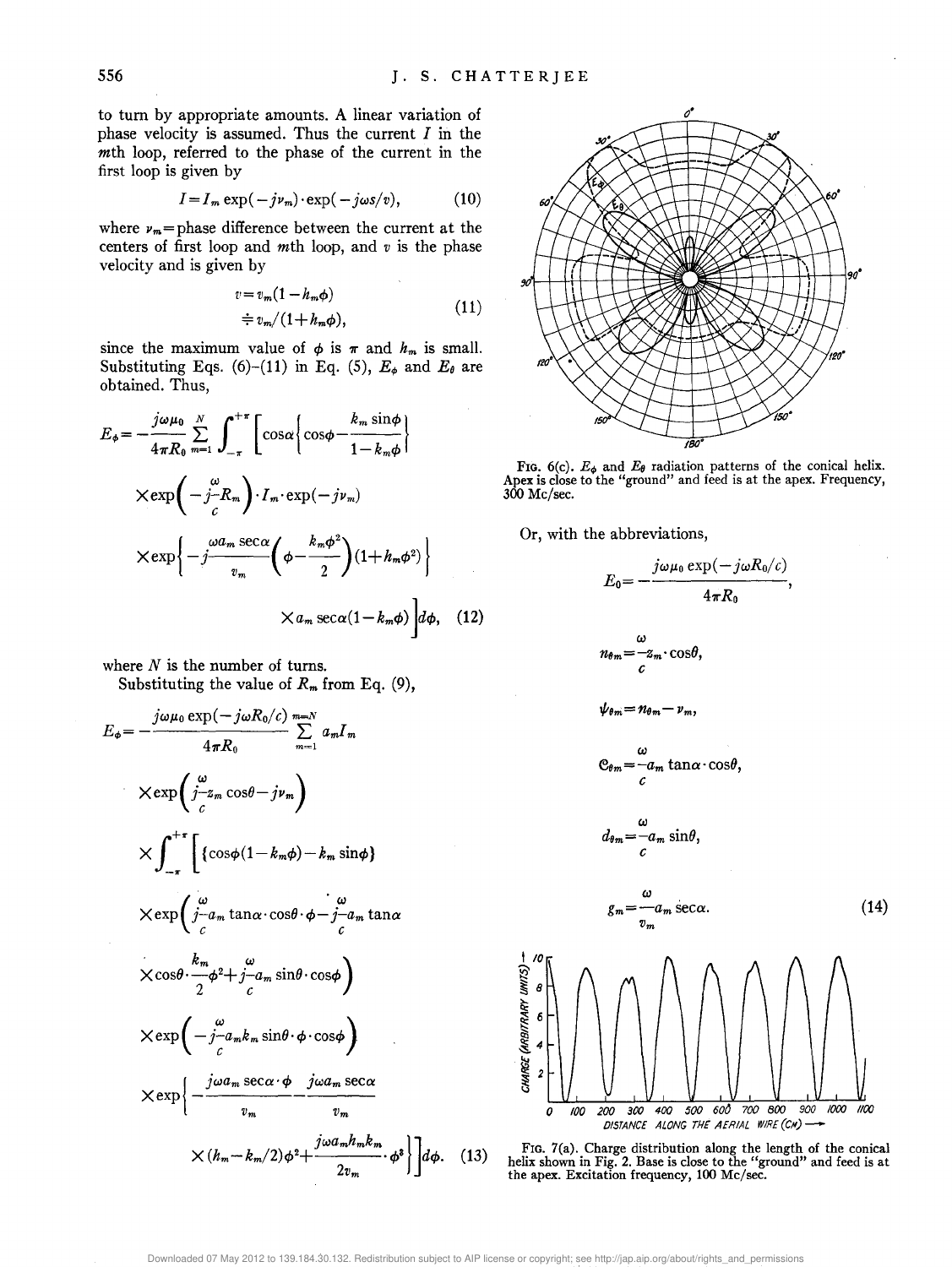to tum by appropriate amounts. A linear variation of phase velocity is assumed. Thus the current *I* in the mth loop, referred to the phase of the current in the first loop is given by

$$
I = I_m \exp(-j\nu_m) \cdot \exp(-j\omega s/v), \qquad (10)
$$

where  $\nu_m$ =phase difference between the current at the centers of first loop and mth loop, and *v* is the phase velocity and is given by

$$
v = v_m (1 - h_m \phi)
$$
  
\n
$$
\doteqdot v_m / (1 + h_m \phi),
$$
\n(11)

since the maximum value of  $\phi$  is  $\pi$  and  $h_m$  is small. Substituting Eqs. (6)-(11) in Eq. (5),  $E_{\phi}$  and  $E_{\theta}$  are obtained. Thus,

$$
E_{\phi} = -\frac{j\omega\mu_{0}}{4\pi R_{0}} \sum_{m=1}^{N} \int_{-\pi}^{+\pi} \left[ \cos\alpha \left\{ \cos\phi - \frac{k_{m} \sin\phi}{1 - k_{m}\phi} \right\} \right]
$$

$$
\times \exp\left(-j\frac{\omega}{c}R_{m}\right) \cdot I_{m} \cdot \exp(-j\nu_{m})
$$

$$
\times \exp\left\{-j\frac{\omega a_{m} \sec\alpha}{v_{m}} \left(\phi - \frac{k_{m}\phi^{2}}{2}\right) (1 + k_{m}\phi^{2})\right\}
$$

$$
\times a_{m} \sec\alpha (1 - k_{m}\phi) d\phi, \quad (12)
$$

where  $N$  is the number of turns. Substituting the value of  $R_m$  from Eq. (9),

$$
E_{\phi} = -\frac{j\omega\mu_{0} \exp(-j\omega R_{0}/c)}{4\pi R_{0}} \sum_{m=1}^{m=N} a_{m}I_{m}
$$
  
\n
$$
\times \exp\left(\frac{\omega}{j-2m} \cos\theta - j\nu_{m}\right)
$$
  
\n
$$
\times \int_{-\pi}^{+\pi} \left[\left\{\cos\phi(1-k_{m}\phi) - k_{m} \sin\phi\right\}\right]
$$
  
\n
$$
\times \exp\left(\frac{\omega}{j-a_{m}} \tan\alpha \cdot \cos\theta \cdot \phi - j-a_{m} \tan\alpha\right]
$$
  
\n
$$
\times \cos\theta \cdot \frac{k_{m}}{2} \phi^{2} + j-a_{m} \sin\theta \cdot \cos\phi
$$
  
\n
$$
\times \exp\left(-j-a_{m}k_{m} \sin\theta \cdot \phi \cdot \cos\phi\right)
$$
  
\n
$$
\times \exp\left\{-\frac{j\omega a_{m} \sec\alpha \cdot \phi}{v_{m}} - \frac{j\omega a_{m} \sec\alpha}{v_{m}}\right\}
$$
  
\n
$$
\times (h_{m} - k_{m}/2) \phi^{2} + \frac{j\omega a_{m}h_{m}k_{m}}{2v_{m}} \cdot \phi^{3}\right\} d\phi.
$$



FIG.  $6(c)$ .  $E_{\phi}$  and  $E_{\theta}$  radiation patterns of the conical helix. Apex is close to the "ground" and feed is at the apex. Frequency, 300 Me/sec.

Or, with the abbreviations,

$$
E_0 = -\frac{j\omega\mu_0 \exp(-j\omega R_0/c)}{4\pi R_0},
$$
\n
$$
n_{\theta m} = -z_m \cdot \cos\theta,
$$
\n
$$
\psi_{\theta m} = n_{\theta m} - \nu_m,
$$
\n
$$
C_{\theta m} = -a_m \tan\alpha \cdot \cos\theta,
$$
\n
$$
d_{\theta m} = -a_m \sin\theta,
$$
\n
$$
g_m = -a_m \sec\alpha.
$$
\n(14)\n
$$
g_m = -a_m \sec\alpha.
$$
\n(14)\n
$$
\frac{1}{2} \int_{\cos\alpha/2}^{1/2} \int_{\cos\alpha/2}^{1/2} \int_{\cos\alpha/2}^{1/2} \int_{\cos\alpha/2}^{1/2} \int_{\cos\alpha/2}^{1/2} \int_{\cos\alpha/2}^{1/2} \int_{\cos\alpha/2}^{1/2} \int_{\cos\alpha/2}^{1/2} \int_{\cos\alpha/2}^{1/2} \int_{\cos\alpha/2}^{1/2} \int_{\cos\alpha/2}^{1/2} \int_{\cos\alpha/2}^{1/2} \int_{\cos\alpha/2}^{1/2} \int_{\cos\alpha/2}^{1/2} \int_{\cos\alpha/2}^{1/2} \int_{\cos\alpha/2}^{1/2} \int_{\cos\alpha/2}^{1/2} \int_{\cos\alpha/2}^{1/2} \int_{\cos\alpha/2}^{1/2} \int_{\cos\alpha/2}^{1/2} \int_{\cos\alpha/2}^{1/2} \int_{\cos\alpha/2}^{1/2} \int_{\cos\alpha/2}^{1/2} \int_{\cos\alpha/2}^{1/2} \int_{\cos\alpha/2}^{1/2} \int_{\cos\alpha/2}^{1/2} \int_{\cos\alpha/2}^{1/2} \int_{\cos\alpha/2}^{1/2} \int_{\cos\alpha/2}^{1/2} \int_{\cos\alpha/2}^{1/2} \int_{\cos\alpha/2}^{1/2} \int_{\cos\alpha/2}^{1/2} \int_{\cos\alpha/2}^{1/2} \int_{\cos\alpha/2}^{1/2} \int_{\cos\alpha/2}^{1/2} \int_{\cos\alpha/2}^{1/2} \int_{\cos\alpha/2}^{1/
$$



 $(13)$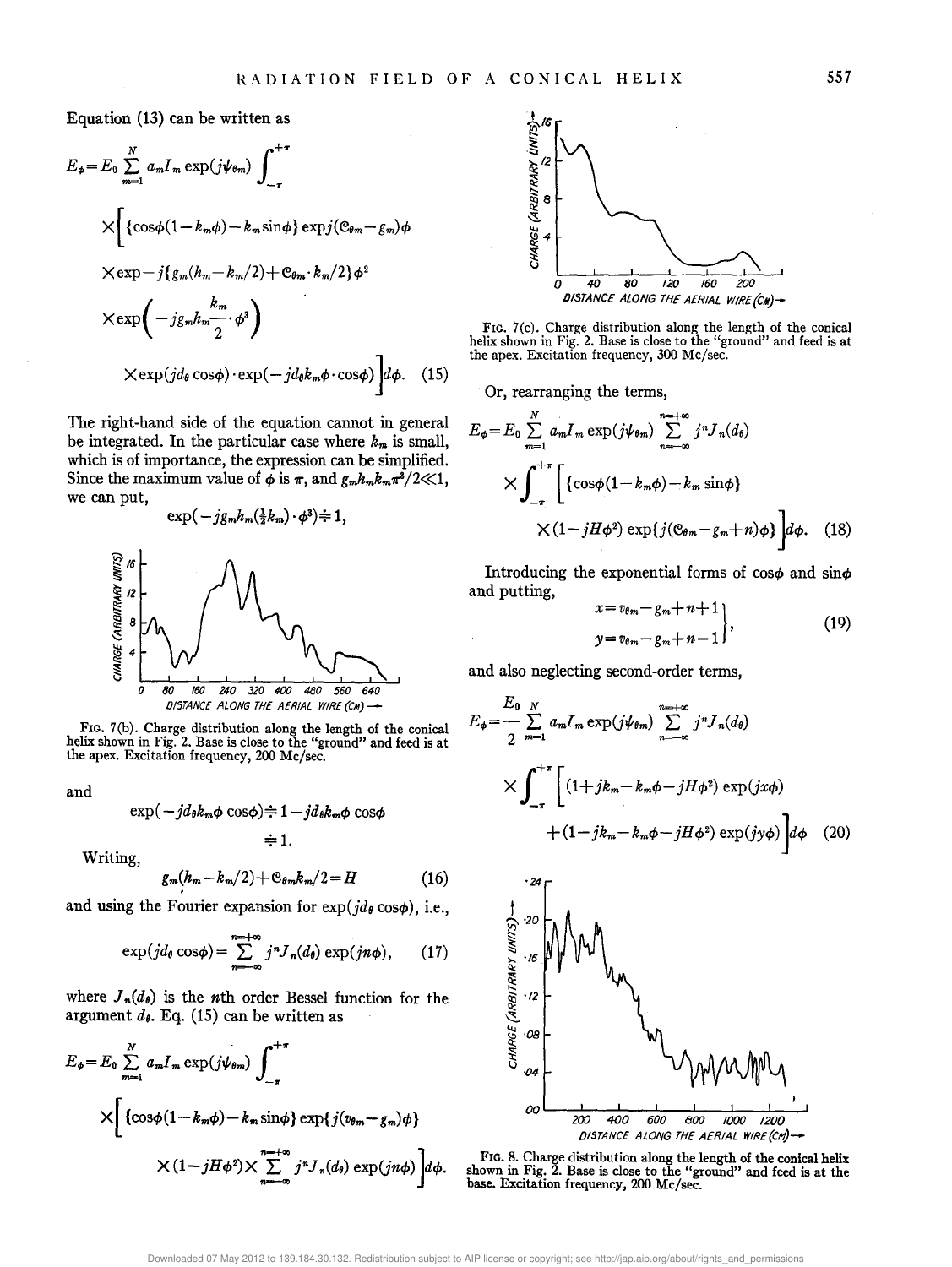Equation (13) can be written as

$$
E_{\phi} = E_0 \sum_{m=1}^{N} a_m I_m \exp(j\psi_{\theta m}) \int_{-\tau}^{+\tau}
$$
  
\n
$$
\times \left[ \{ \cos\phi (1 - k_m \phi) - k_m \sin\phi \} \exp(j(\mathbf{e}_{\theta m} - g_m) \phi \right]
$$
  
\n
$$
\times \exp{-j \{ g_m (h_m - k_m/2) + \mathbf{e}_{\theta m} \cdot k_m/2 \} \phi^2}
$$
  
\n
$$
\times \exp\left( -j g_m h_m \frac{k_m}{2} \cdot \phi^3 \right)
$$
  
\n
$$
\times \exp(j d_\theta \cos\phi) \cdot \exp(-j d_\theta k_m \phi \cdot \cos\phi) \Big] d\phi. \quad (15)
$$

The right-hand side of the equation cannot in general be integrated. In the particular case where  $k_m$  is small, which is of importance, the expression can be simplified. Since the maximum value of  $\phi$  is  $\pi$ , and  $g_m h_m k_m \pi^3/2 \ll 1$ , we can put,

$$
\exp(-j g_m h_m(\tfrac{1}{2}k_m) \cdot \phi^3) \div 1,
$$



FIG. 7(b). Charge distribution along the length of the conical helix shown in Fig. 2. Base is close to the "ground" and feed is at the apex. Excitation frequency, 200 Me/sec.

and

$$
\exp(-jd_{\theta}k_m\phi\cos\phi) \div 1 - jd_{\theta}k_m\phi\cos\phi
$$
  

$$
\div 1.
$$

Writing,

$$
g_m(h_m - k_m/2) + \mathfrak{E}_{\theta m} k_m/2 = H \tag{16}
$$

and using the Fourier expansion for  $\exp(j d_\theta \cos \phi)$ , i.e.,

$$
\exp(j d_{\theta} \cos \phi) = \sum_{n=-\infty}^{n=+\infty} j^n J_n(d_{\theta}) \exp(j n \phi), \qquad (17)
$$

where  $J_n(d_\theta)$  is the *n*th order Bessel function for the argument  $d_{\theta}$ . Eq. (15) can be written as

$$
E_{\phi} = E_0 \sum_{m=1}^{N} a_m I_m \exp(j\psi_{\theta m}) \int_{-\pi}^{+\pi} \times \left[ \left\{ \cos\phi (1 - k_m \phi) - k_m \sin\phi \right\} \exp\{j(v_{\theta m} - g_m) \phi \} \right. \times \left. (1 - jH\phi^2) \right\} \sum_{n=-\infty}^{\infty} j^n J_n(d_{\theta}) \exp(jn\phi) \left] d\phi.
$$



FIG. 7(c). Charge distribution along the length of the conical helix shown in Fig. 2. Base is close to the "ground" and feed is at the apex. Excitation frequency, 300 Me/sec.

Or, rearranging the terms,

$$
E_{\phi} = E_0 \sum_{m=1}^{N} a_m I_m \exp(j\psi_{\theta m}) \sum_{n=-\infty}^{n=-\infty} j^n J_n(d_{\theta})
$$
  
 
$$
\times \int_{-\pi}^{+\pi} \left[ \{ \cos\phi (1 - k_m \phi) - k_m \sin \phi \} \times (1 - jH\phi^2) \exp\{j(\mathfrak{C}_{\theta m} - g_m + n)\phi \} \right] d\phi. \quad (18)
$$

Introducing the exponential forms of  $\cos\phi$  and  $\sin\phi$ and putting,

$$
x = v_{\theta m} - g_m + n + 1
$$
  
\n
$$
y = v_{\theta m} - g_m + n - 1
$$
 (19)

and also neglecting second-order terms,

$$
E_{\phi} = \frac{E_{0}}{2} \sum_{m=1}^{N} a_{m} I_{m} \exp(j\psi_{\theta m}) \sum_{n=-\infty}^{n=-\infty} j^{n} J_{n}(d_{\theta})
$$
  
 
$$
\times \int_{-\pi}^{+\pi} \left[ (1+jk_{m}-k_{m}\phi-jH\phi^{2}) \exp(jx\phi) + (1-jk_{m}-k_{m}\phi-jH\phi^{2}) \exp(jy\phi) \right] d\phi \quad (20)
$$



FIG. 8. Charge distribution along the length of the conical helix shown in Fig. 2. Base is close to the "ground" and feed is at the base. Excitation frequency, 200 Me/sec.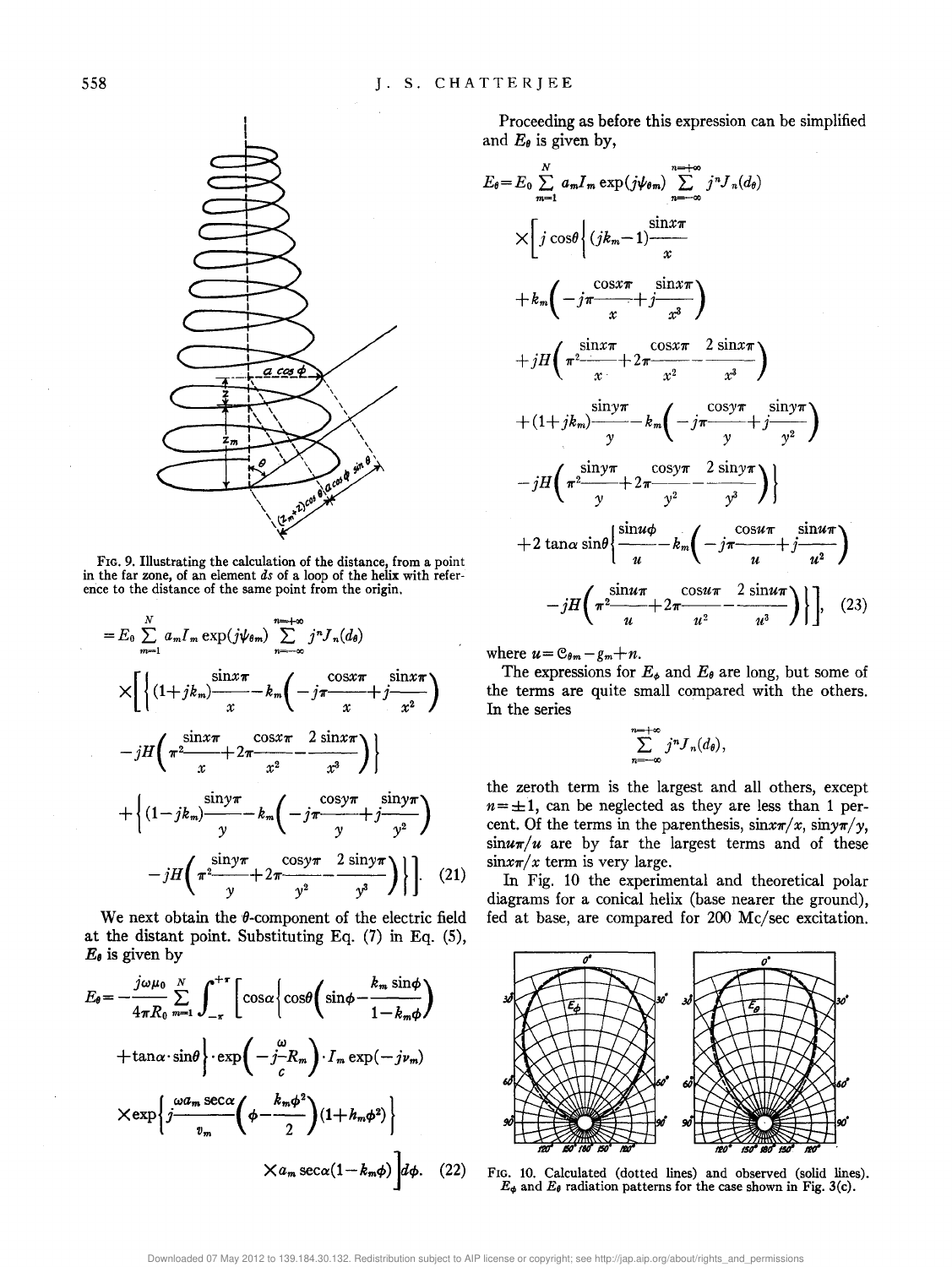

FIG. 9. Illustrating the calculation of the distance, from a point in the far zone, of an element *ds* of a loop of the helix with reference to the distance of the same point from the origin.

$$
=E_0 \sum_{m=1}^{N} a_m I_m \exp(j\psi_{\theta m}) \sum_{n=-\infty}^{m=\infty} j^n J_n(d_{\theta})
$$
  
\n
$$
\times \left[ \left\{ (1+jk_m) \frac{\sin x \pi}{x} - k_m \left( -j \pi \frac{\cos x \pi}{x} + j \frac{\sin x \pi}{x^2} \right) - jH \left( \pi^2 \frac{\sin x \pi}{x} + 2 \pi \frac{\cos x \pi}{x^2} - \frac{2 \sin x \pi}{x^3} \right) \right\}
$$
  
\n
$$
+ \left\{ (1-jk_m) \frac{\sin y \pi}{y} - k_m \left( -j \pi \frac{\cos y \pi}{y} + j \frac{\sin y \pi}{y^2} \right) - jH \left( \pi^2 \frac{\sin y \pi}{y} + 2 \pi \frac{\cos y \pi}{y^2} - \frac{2 \sin y \pi}{y^3} \right) \right\} \right].
$$
 (21)

We next obtain the  $\theta$ -component of the electric field at the distant point. Substituting Eq. (7) in Eq. (S),  $E_{\theta}$  is given by

$$
E_{\theta} = -\frac{j\omega\mu_0}{4\pi R_0} \sum_{m=1}^{N} \int_{-\pi}^{+\pi} \left[ \cos\alpha \left\{ \cos\theta \left( \sin\phi - \frac{k_m \sin\phi}{1 - k_m \phi} \right) \right. \right.\left. + \tan\alpha \cdot \sin\theta \right\} \cdot \exp\left( -j\frac{\omega}{c} R_m \right) \cdot I_m \exp(-j\nu_m) \left. \times \exp\left\{ j\frac{\omega a_m \sec\alpha}{v_m} \left( \phi - \frac{k_m \phi^2}{2} \right) (1 + h_m \phi^2) \right\} \right.\left. \times a_m \sec\alpha (1 - k_m \phi) \right] d\phi. \quad (22)
$$

Proceeding as before this expression can be simplified and  $E_{\theta}$  is given by,

$$
E_{\theta} = E_{0} \sum_{m=1}^{N} a_{m} I_{m} \exp(j\psi_{\theta m}) \sum_{n=-\infty}^{n-\infty} j^{n} J_{n}(d_{\theta})
$$
  
\n
$$
\times \left[ j \cos\theta \left| (jk_{m}-1) \frac{\sin x \pi}{x} + k_{m} \left( -j \frac{\cos x \pi}{x} + j \frac{\sin x \pi}{x^{3}} \right) + jH \left( \pi^{2} \frac{\sin x \pi}{x} + 2 \pi \frac{\cos x \pi}{x^{2}} - \frac{2 \sin x \pi}{x^{3}} \right) + (1+jk_{m}) \frac{\sin y \pi}{y} - k_{m} \left( -j \pi \frac{\cos y \pi}{y} + j \frac{\sin y \pi}{y^{2}} \right) - jH \left( \pi^{2} \frac{\sin y \pi}{y} + 2 \pi \frac{\cos y \pi}{y^{2}} - \frac{2 \sin y \pi}{y^{3}} \right) \right\}
$$
  
\n
$$
+ 2 \tan \alpha \sin \theta \left\{ \frac{\sin u \phi}{u} - k_{m} \left( -j \pi \frac{\cos u \pi}{u} + j \frac{\sin u \pi}{u^{2}} \right) - jH \left( \pi^{2} \frac{\sin u \pi}{u} + 2 \pi \frac{\cos u \pi}{u^{2}} - \frac{2 \sin u \pi}{u^{3}} \right) \right\}, \quad (23)
$$

where  $u = e_{\theta m} - g_m + n$ .

The expressions for  $E_{\phi}$  and  $E_{\theta}$  are long, but some of the terms are quite small compared with the others. In the series

$$
\sum_{n=-\infty}^{n=+\infty} j^n J_n(d_\theta),
$$

the zeroth term is the largest and all others, except  $n = \pm 1$ , can be neglected as they are less than 1 percent. Of the terms in the parenthesis,  $\sin x\pi/x$ ,  $\sin y\pi/y$ ,  $\sin u\pi/u$  are by far the largest terms and of these  $\sin x\pi/x$  term is very large.

In Fig. 10 the experimental and theoretical polar diagrams for a conical helix (base nearer the ground), fed at base, are compared for 200 Mc/sec excitation.



FIG. 10. Calculated (dotted lines) and observed (solid lines).  $E_{\phi}$  and  $E_{\theta}$  radiation patterns for the case shown in Fig. 3(c).